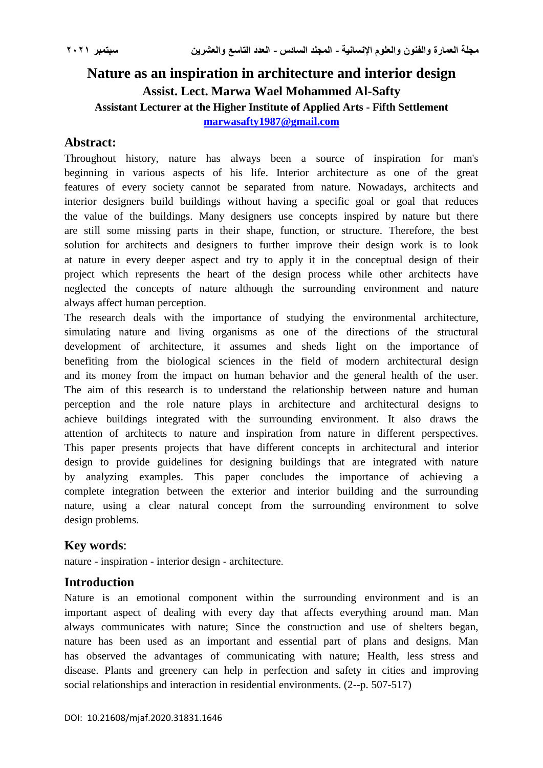# **Nature as an inspiration in architecture and interior design Assist. Lect. Marwa Wael Mohammed Al-Safty Assistant Lecturer at the Higher Institute of Applied Arts - Fifth Settlement [marwasafty1987@gmail.com](mailto:marwasafty1987@gmail.com)**

## **Abstract:**

Throughout history, nature has always been a source of inspiration for man's beginning in various aspects of his life. Interior architecture as one of the great features of every society cannot be separated from nature. Nowadays, architects and interior designers build buildings without having a specific goal or goal that reduces the value of the buildings. Many designers use concepts inspired by nature but there are still some missing parts in their shape, function, or structure. Therefore, the best solution for architects and designers to further improve their design work is to look at nature in every deeper aspect and try to apply it in the conceptual design of their project which represents the heart of the design process while other architects have neglected the concepts of nature although the surrounding environment and nature always affect human perception.

The research deals with the importance of studying the environmental architecture, simulating nature and living organisms as one of the directions of the structural development of architecture, it assumes and sheds light on the importance of benefiting from the biological sciences in the field of modern architectural design and its money from the impact on human behavior and the general health of the user. The aim of this research is to understand the relationship between nature and human perception and the role nature plays in architecture and architectural designs to achieve buildings integrated with the surrounding environment. It also draws the attention of architects to nature and inspiration from nature in different perspectives. This paper presents projects that have different concepts in architectural and interior design to provide guidelines for designing buildings that are integrated with nature by analyzing examples. This paper concludes the importance of achieving a complete integration between the exterior and interior building and the surrounding nature, using a clear natural concept from the surrounding environment to solve design problems.

## **Key words**:

nature - inspiration - interior design - architecture.

## **Introduction**

Nature is an emotional component within the surrounding environment and is an important aspect of dealing with every day that affects everything around man. Man always communicates with nature; Since the construction and use of shelters began, nature has been used as an important and essential part of plans and designs. Man has observed the advantages of communicating with nature; Health, less stress and disease. Plants and greenery can help in perfection and safety in cities and improving social relationships and interaction in residential environments. (2--p. 507-517)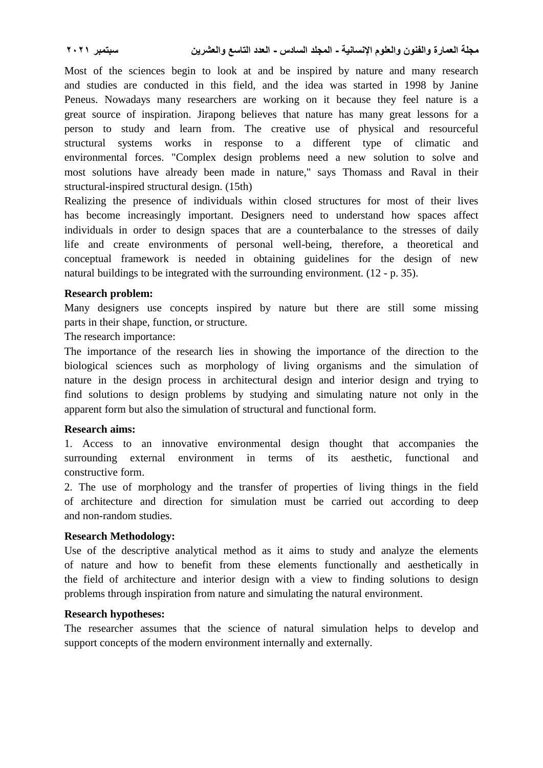Most of the sciences begin to look at and be inspired by nature and many research and studies are conducted in this field, and the idea was started in 1998 by Janine Peneus. Nowadays many researchers are working on it because they feel nature is a great source of inspiration. Jirapong believes that nature has many great lessons for a person to study and learn from. The creative use of physical and resourceful structural systems works in response to a different type of climatic and environmental forces. "Complex design problems need a new solution to solve and most solutions have already been made in nature," says Thomass and Raval in their structural-inspired structural design. (15th)

Realizing the presence of individuals within closed structures for most of their lives has become increasingly important. Designers need to understand how spaces affect individuals in order to design spaces that are a counterbalance to the stresses of daily life and create environments of personal well-being, therefore, a theoretical and conceptual framework is needed in obtaining guidelines for the design of new natural buildings to be integrated with the surrounding environment. (12 - p. 35).

#### **Research problem:**

Many designers use concepts inspired by nature but there are still some missing parts in their shape, function, or structure.

The research importance:

The importance of the research lies in showing the importance of the direction to the biological sciences such as morphology of living organisms and the simulation of nature in the design process in architectural design and interior design and trying to find solutions to design problems by studying and simulating nature not only in the apparent form but also the simulation of structural and functional form.

#### **Research aims:**

1. Access to an innovative environmental design thought that accompanies the surrounding external environment in terms of its aesthetic, functional and constructive form.

2. The use of morphology and the transfer of properties of living things in the field of architecture and direction for simulation must be carried out according to deep and non-random studies.

#### **Research Methodology:**

Use of the descriptive analytical method as it aims to study and analyze the elements of nature and how to benefit from these elements functionally and aesthetically in the field of architecture and interior design with a view to finding solutions to design problems through inspiration from nature and simulating the natural environment.

#### **Research hypotheses:**

The researcher assumes that the science of natural simulation helps to develop and support concepts of the modern environment internally and externally.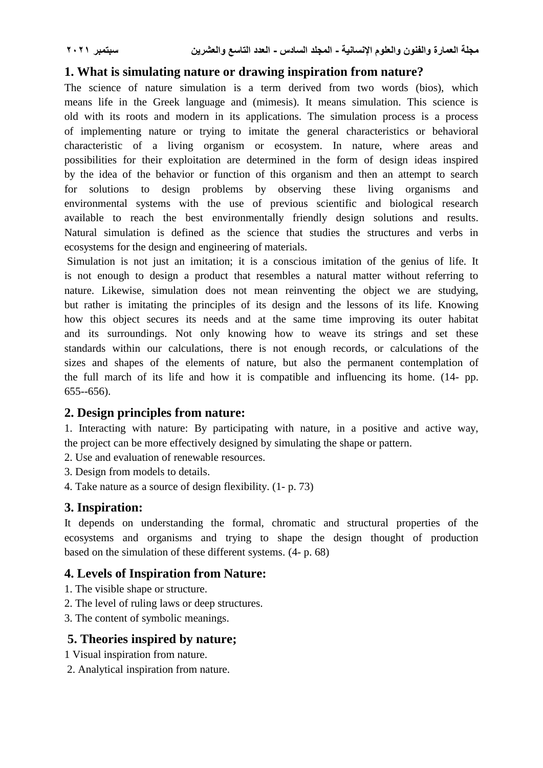## **1. What is simulating nature or drawing inspiration from nature?**

The science of nature simulation is a term derived from two words (bios), which means life in the Greek language and (mimesis). It means simulation. This science is old with its roots and modern in its applications. The simulation process is a process of implementing nature or trying to imitate the general characteristics or behavioral characteristic of a living organism or ecosystem. In nature, where areas and possibilities for their exploitation are determined in the form of design ideas inspired by the idea of the behavior or function of this organism and then an attempt to search for solutions to design problems by observing these living organisms and environmental systems with the use of previous scientific and biological research available to reach the best environmentally friendly design solutions and results. Natural simulation is defined as the science that studies the structures and verbs in ecosystems for the design and engineering of materials.

Simulation is not just an imitation; it is a conscious imitation of the genius of life. It is not enough to design a product that resembles a natural matter without referring to nature. Likewise, simulation does not mean reinventing the object we are studying, but rather is imitating the principles of its design and the lessons of its life. Knowing how this object secures its needs and at the same time improving its outer habitat and its surroundings. Not only knowing how to weave its strings and set these standards within our calculations, there is not enough records, or calculations of the sizes and shapes of the elements of nature, but also the permanent contemplation of the full march of its life and how it is compatible and influencing its home. (14- pp. 655--656).

## **2. Design principles from nature:**

1. Interacting with nature: By participating with nature, in a positive and active way, the project can be more effectively designed by simulating the shape or pattern.

- 2. Use and evaluation of renewable resources.
- 3. Design from models to details.
- 4. Take nature as a source of design flexibility. (1- p. 73)

## **3. Inspiration:**

It depends on understanding the formal, chromatic and structural properties of the ecosystems and organisms and trying to shape the design thought of production based on the simulation of these different systems. (4- p. 68)

## **4. Levels of Inspiration from Nature:**

- 1. The visible shape or structure.
- 2. The level of ruling laws or deep structures.
- 3. The content of symbolic meanings.

## **5. Theories inspired by nature;**

- 1 Visual inspiration from nature.
- 2. Analytical inspiration from nature.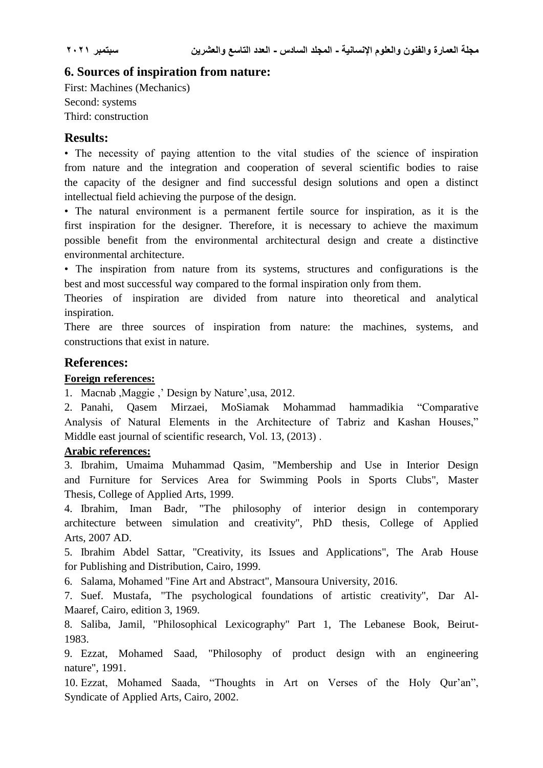## **6. Sources of inspiration from nature:**

First: Machines (Mechanics) Second: systems Third: construction

#### **Results:**

• The necessity of paying attention to the vital studies of the science of inspiration from nature and the integration and cooperation of several scientific bodies to raise the capacity of the designer and find successful design solutions and open a distinct intellectual field achieving the purpose of the design.

• The natural environment is a permanent fertile source for inspiration, as it is the first inspiration for the designer. Therefore, it is necessary to achieve the maximum possible benefit from the environmental architectural design and create a distinctive environmental architecture.

• The inspiration from nature from its systems, structures and configurations is the best and most successful way compared to the formal inspiration only from them.

Theories of inspiration are divided from nature into theoretical and analytical inspiration.

There are three sources of inspiration from nature: the machines, systems, and constructions that exist in nature.

#### **References:**

#### **Foreign references:**

1. Macnab ,Maggie ,' Design by Nature',usa, 2012.

2. Panahi, Qasem Mirzaei, MoSiamak Mohammad hammadikia "Comparative Analysis of Natural Elements in the Architecture of Tabriz and Kashan Houses," Middle east journal of scientific research, Vol. 13, (2013) .

#### **Arabic references:**

3. Ibrahim, Umaima Muhammad Qasim, "Membership and Use in Interior Design and Furniture for Services Area for Swimming Pools in Sports Clubs", Master Thesis, College of Applied Arts, 1999.

4. Ibrahim, Iman Badr, "The philosophy of interior design in contemporary architecture between simulation and creativity", PhD thesis, College of Applied Arts, 2007 AD.

5. Ibrahim Abdel Sattar, "Creativity, its Issues and Applications", The Arab House for Publishing and Distribution, Cairo, 1999.

6. Salama, Mohamed "Fine Art and Abstract", Mansoura University, 2016.

7. Suef. Mustafa, "The psychological foundations of artistic creativity", Dar Al-Maaref, Cairo, edition 3, 1969.

8. Saliba, Jamil, "Philosophical Lexicography" Part 1, The Lebanese Book, Beirut-1983.

9. Ezzat, Mohamed Saad, "Philosophy of product design with an engineering nature", 1991.

10. Ezzat, Mohamed Saada, "Thoughts in Art on Verses of the Holy Qur'an", Syndicate of Applied Arts, Cairo, 2002.